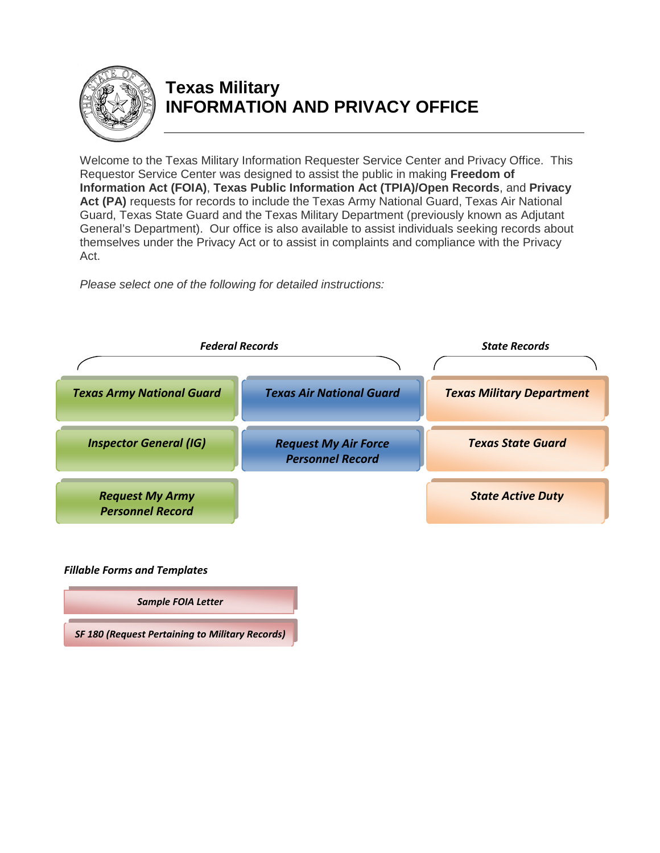<span id="page-0-0"></span>

## **Texas Military INFORMATION AND PRIVACY OFFICE**

Welcome to the Texas Military Information Requester Service Center and Privacy Office. This Requestor Service Center was designed to assist the public in making **Freedom of Information Act (FOIA)**, **Texas Public Information Act (TPIA)/Open Records**, and **Privacy**  Act (PA) requests for records to include the Texas Army National Guard, Texas Air National Guard, Texas State Guard and the Texas Military Department (previously known as Adjutant General's Department). Our office is also available to assist individuals seeking records about themselves under the Privacy Act or to assist in complaints and compliance with the Privacy Act.

*Please select one of the following for detailed instructions:*



*Fillable Forms and Templates*

*[Sample FOIA Letter](#page-9-0)*

*[SF 180 \(Request Pertaining to Military Records\)](http://www.archives.gov/research/order/standard-form-180.pdf)*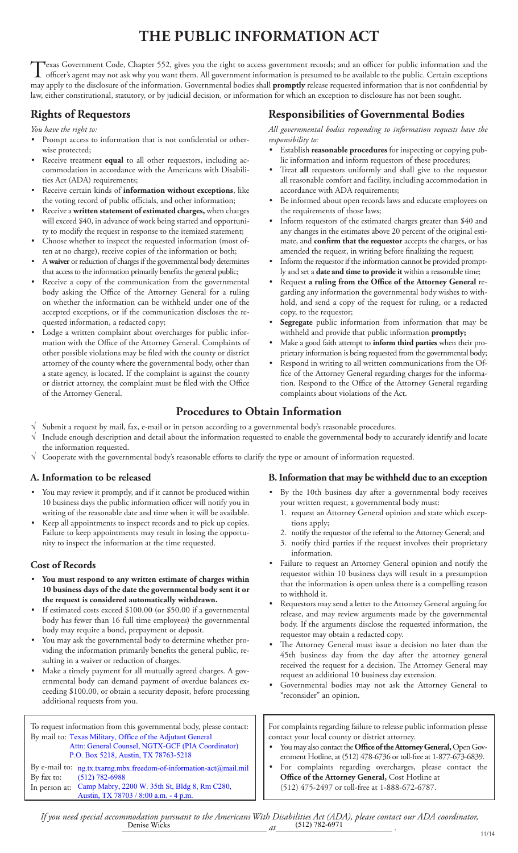# **THE PUBLIC INFORMATION ACT**

<span id="page-1-0"></span>Texas Government Code, Chapter 552, gives you the right to access government records; and an officer for public information and the officer's agent may not ask why you want them. All government information is presumed to b may apply to the disclosure of the information. Governmental bodies shall **promptly** release requested information that is not confidential by law, either constitutional, statutory, or by judicial decision, or information for which an exception to disclosure has not been sought.

### **Rights of Requestors**

*You have the right to:*

- Prompt access to information that is not confidential or otherwise protected;
- Receive treatment **equal** to all other requestors, including accommodation in accordance with the Americans with Disabilities Act (ADA) requirements;
- Receive certain kinds of **information without exceptions**, like the voting record of public officials, and other information;
- Receive a **written statement of estimated charges,** when charges will exceed \$40, in advance of work being started and opportunity to modify the request in response to the itemized statement;
- Choose whether to inspect the requested information (most often at no charge), receive copies of the information or both;
- A **waiver** or reduction of charges if the governmental body determines that access to the information primarily benefits the general public;
- Receive a copy of the communication from the governmental body asking the Office of the Attorney General for a ruling on whether the information can be withheld under one of the accepted exceptions, or if the communication discloses the requested information, a redacted copy;
- Lodge a written complaint about overcharges for public information with the Office of the Attorney General. Complaints of other possible violations may be filed with the county or district attorney of the county where the governmental body, other than a state agency, is located. If the complaint is against the county or district attorney, the complaint must be filed with the Office of the Attorney General.

### **Responsibilities of Governmental Bodies**

*All governmental bodies responding to information requests have the responsibility to:*

- Establish **reasonable procedures** for inspecting or copying public information and inform requestors of these procedures;
- Treat **all** requestors uniformly and shall give to the requestor all reasonable comfort and facility, including accommodation in accordance with ADA requirements;
- Be informed about open records laws and educate employees on the requirements of those laws;
- Inform requestors of the estimated charges greater than \$40 and any changes in the estimates above 20 percent of the original estimate, and **confirm that the requestor** accepts the charges, or has amended the request, in writing before finalizing the request;
- Inform the requestor if the information cannot be provided promptly and set a **date and time to provide it** within a reasonable time;
- Request **a ruling from the Office of the Attorney General** regarding any information the governmental body wishes to withhold, and send a copy of the request for ruling, or a redacted copy, to the requestor;
- Segregate public information from information that may be withheld and provide that public information **promptly;**
- Make a good faith attempt to **inform third parties** when their proprietary information is being requested from the governmental body;
- Respond in writing to all written communications from the Office of the Attorney General regarding charges for the information. Respond to the Office of the Attorney General regarding complaints about violations of the Act.

### **Procedures to Obtain Information**

- Submit a request by mail, fax, e-mail or in person according to a governmental body's reasonable procedures.
- Include enough description and detail about the information requested to enable the governmental body to accurately identify and locate the information requested.
- √ Cooperate with the governmental body's reasonable efforts to clarify the type or amount of information requested.

### **A. Information to be released**

- You may review it promptly, and if it cannot be produced within 10 business days the public information officer will notify you in writing of the reasonable date and time when it will be available.
- Keep all appointments to inspect records and to pick up copies. Failure to keep appointments may result in losing the opportunity to inspect the information at the time requested.

### **Cost of Records**

- **You must respond to any written estimate of charges within 10 business days of the date the governmental body sent it or the request is considered automatically withdrawn.**
- If estimated costs exceed \$100.00 (or \$50.00 if a governmental body has fewer than 16 full time employees) the governmental body may require a bond, prepayment or deposit.
- You may ask the governmental body to determine whether providing the information primarily benefits the general public, resulting in a waiver or reduction of charges.
- Make a timely payment for all mutually agreed charges. A governmental body can demand payment of overdue balances exceeding \$100.00, or obtain a security deposit, before processing additional requests from you.

To request information from this governmental body, please contact: By mail to: Texas Military, Office of the Adjutant General By e-mail to: ng.tx.txarng.mbx.freedom-of-information-act@mail.mil Attn: General Counsel, NGTX-GCF (PIA Coordinator) P.O. Box 5218, Austin, TX 78763-5218

By fax to: In person at: Camp Mabry, 2200 W. 35th St, Bldg 8, Rm C280, (512) 782-6988 Austin, TX 78703 / 8:00 a.m. - 4 p.m.

### **B. Information that may be withheld due to an exception**

- By the 10th business day after a governmental body receives your written request, a governmental body must:
	- 1. request an Attorney General opinion and state which exceptions apply;
	- 2. notify the requestor of the referral to the Attorney General; and
- 3. notify third parties if the request involves their proprietary information.
- Failure to request an Attorney General opinion and notify the requestor within 10 business days will result in a presumption that the information is open unless there is a compelling reason to withhold it.
- Requestors may send a letter to the Attorney General arguing for release, and may review arguments made by the governmental body. If the arguments disclose the requested information, the requestor may obtain a redacted copy.
- The Attorney General must issue a decision no later than the 45th business day from the day after the attorney general received the request for a decision. The Attorney General may request an additional 10 business day extension.
- Governmental bodies may not ask the Attorney General to "reconsider" an opinion.

For complaints regarding failure to release public information please contact your local county or district attorney.

- You may also contact the **Office of the Attorney General,** Open Government Hotline, at (512) 478-6736 or toll-free at 1-877-673-6839.
- For complaints regarding overcharges, please contact the **Office of the Attorney General,** Cost Hotline at (512) 475-2497 or toll-free at 1-888-672-6787.

*If you need special accommodation pursuant to the Americans With Disabilities Act (ADA), please contact our ADA coordinator, \_\_\_\_\_\_\_\_\_\_\_\_\_\_\_\_\_\_\_\_\_\_\_\_\_\_\_\_\_\_\_ at\_\_\_\_\_\_\_\_\_\_\_\_\_\_\_\_\_\_\_\_\_\_\_\_\_ .* 11/14 Denise Wicks at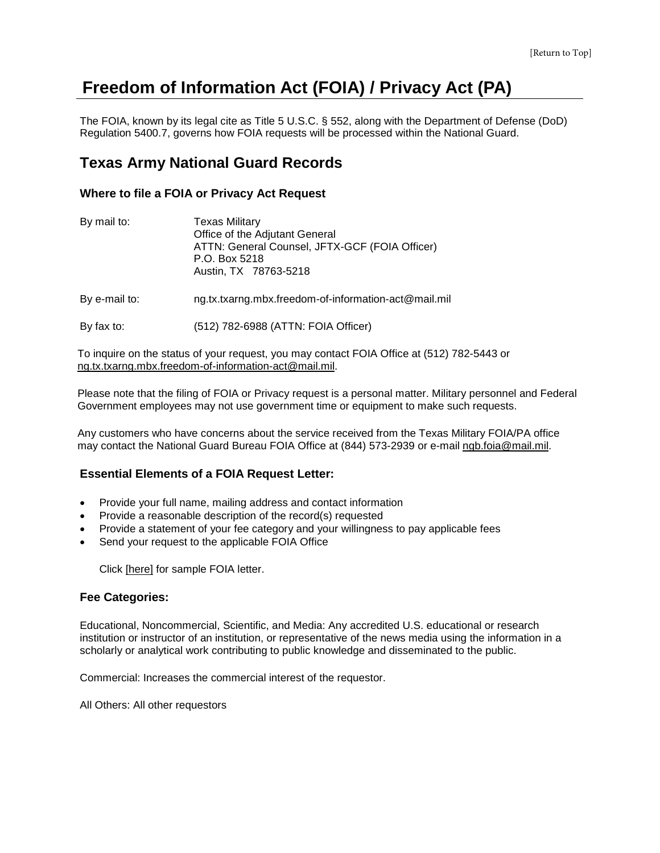## <span id="page-2-0"></span>**Freedom of Information Act (FOIA) / Privacy Act (PA)**

The FOIA, known by its legal cite as Title 5 U.S.C. § 552, along with the Department of Defense (DoD) Regulation 5400.7, governs how FOIA requests will be processed within the National Guard.

### **Texas Army National Guard Records**

### **Where to file a FOIA or Privacy Act Request**

| By mail to: | Texas Military                                 |  |  |  |
|-------------|------------------------------------------------|--|--|--|
|             | Office of the Adjutant General                 |  |  |  |
|             | ATTN: General Counsel, JFTX-GCF (FOIA Officer) |  |  |  |
|             | P.O. Box 5218                                  |  |  |  |
|             | Austin, TX 78763-5218                          |  |  |  |

By e-mail to: ng.tx.txarng.mbx.freedom-of-information-act@mail.mil

By fax to: (512) 782-6988 (ATTN: FOIA Officer)

To inquire on the status of your request, you may contact FOIA Office at (512) 782-5443 or [ng.tx.txarng.mbx.freedom-of-information-act@mail.mil.](mailto:ng.tx.txarng.mbx.freedom-of-information-act@mail.mil)

Please note that the filing of FOIA or Privacy request is a personal matter. Military personnel and Federal Government employees may not use government time or equipment to make such requests.

Any customers who have concerns about the service received from the Texas Military FOIA/PA office may contact the National Guard Bureau FOIA Office at (844) 573-2939 or e-mail [ngb.foia@mail.mil.](mailto:ngb.foia@mail.mil)

### **Essential Elements of a FOIA Request Letter:**

- Provide your full name, mailing address and contact information
- Provide a reasonable description of the record(s) requested
- Provide a statement of your fee category and your willingness to pay applicable fees
- Send your request to the applicable FOIA Office

Click [\[here\]](#page-9-1) for sample FOIA letter.

#### **Fee Categories:**

Educational, Noncommercial, Scientific, and Media: Any accredited U.S. educational or research institution or instructor of an institution, or representative of the news media using the information in a scholarly or analytical work contributing to public knowledge and disseminated to the public.

Commercial: Increases the commercial interest of the requestor.

All Others: All other requestors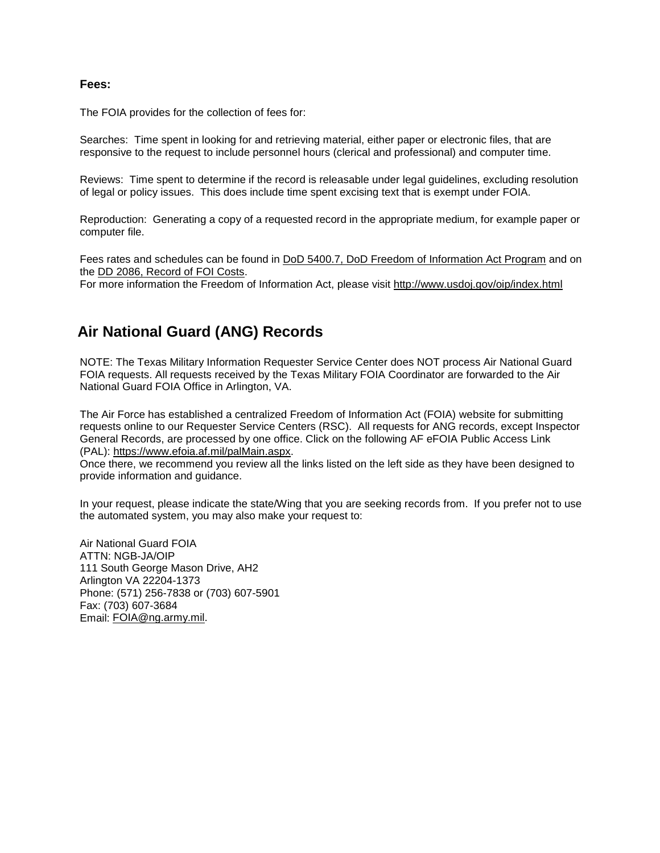#### <span id="page-3-0"></span>**Fees:**

The FOIA provides for the collection of fees for:

Searches: Time spent in looking for and retrieving material, either paper or electronic files, that are responsive to the request to include personnel hours (clerical and professional) and computer time.

Reviews: Time spent to determine if the record is releasable under legal guidelines, excluding resolution of legal or policy issues. This does include time spent excising text that is exempt under FOIA.

Reproduction: Generating a copy of a requested record in the appropriate medium, for example paper or computer file.

Fees rates and schedules can be found in [DoD 5400.7, DoD Freedom of Information Act Program](http://www.dtic.mil/whs/directives/corres/pdf/540007r.pdf) and on the [DD 2086, Record of FOI Costs.](http://www.dtic.mil/whs/directives/infomgt/forms/eforms/dd2086.pdf)

For more information the Freedom of Information Act, please visit<http://www.usdoj.gov/oip/index.html>

### **Air National Guard (ANG) Records**

NOTE: The Texas Military Information Requester Service Center does NOT process Air National Guard FOIA requests. All requests received by the Texas Military FOIA Coordinator are forwarded to the Air National Guard FOIA Office in Arlington, VA.

The Air Force has established a centralized Freedom of Information Act (FOIA) website for submitting requests online to our Requester Service Centers (RSC). All requests for ANG records, except Inspector General Records, are processed by one office. Click on the following AF eFOIA Public Access Link (PAL): [https://www.efoia.af.mil/palMain.aspx.](https://www.efoia.af.mil/palMain.aspx)

Once there, we recommend you review all the links listed on the left side as they have been designed to provide information and guidance.

In your request, please indicate the state/Wing that you are seeking records from. If you prefer not to use the automated system, you may also make your request to:

Air National Guard FOIA ATTN: NGB-JA/OIP 111 South George Mason Drive, AH2 Arlington VA 22204-1373 Phone: (571) 256-7838 or (703) 607-5901 Fax: (703) 607-3684 Email: [FOIA@ng.army.mil.](mailto:FOIA@ng.army.mil)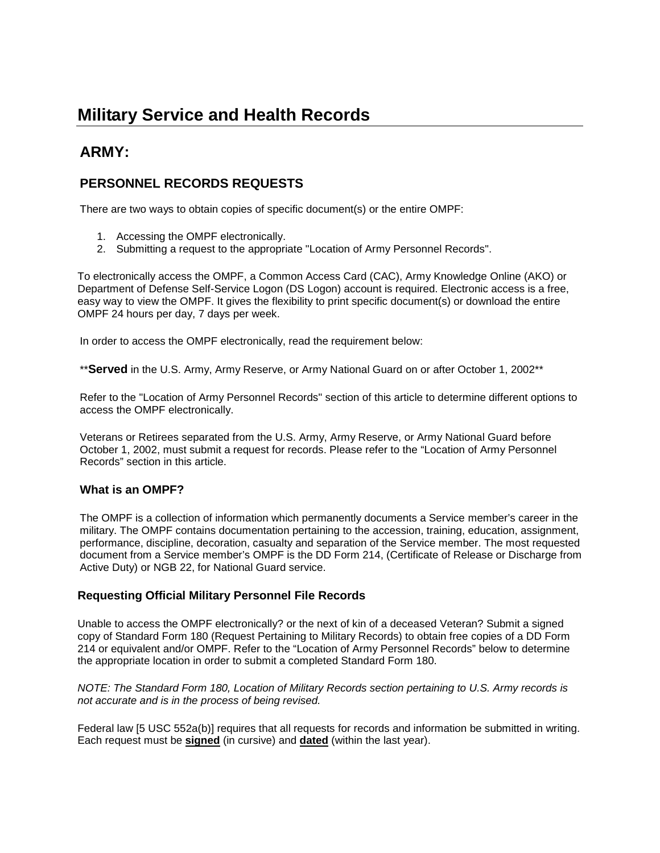## <span id="page-4-0"></span>**Military Service and Health Records**

### **ARMY:**

### **PERSONNEL RECORDS REQUESTS**

There are two ways to obtain copies of specific document(s) or the entire OMPF:

- 1. Accessing the OMPF electronically.
- 2. Submitting a request to the appropriate "Location of Army Personnel Records".

To electronically access the OMPF, a Common Access Card (CAC), Army Knowledge Online (AKO) or Department of Defense Self-Service Logon (DS Logon) account is required. Electronic access is a free, easy way to view the OMPF. It gives the flexibility to print specific document(s) or download the entire OMPF 24 hours per day, 7 days per week.

In order to access the OMPF electronically, read the requirement below:

\*\***Served** in the U.S. Army, Army Reserve, or Army National Guard on or after October 1, 2002\*\*

Refer to the "Location of Army Personnel Records" section of this article to determine different options to access the OMPF electronically.

Veterans or Retirees separated from the U.S. Army, Army Reserve, or Army National Guard before October 1, 2002, must submit a request for records. Please refer to the "Location of Army Personnel Records" section in this article.

### **What is an OMPF?**

The OMPF is a collection of information which permanently documents a Service member's career in the military. The OMPF contains documentation pertaining to the accession, training, education, assignment, performance, discipline, decoration, casualty and separation of the Service member. The most requested document from a Service member's OMPF is the DD Form 214, (Certificate of Release or Discharge from Active Duty) or NGB 22, for National Guard service.

### **Requesting Official Military Personnel File Records**

Unable to access the OMPF electronically? or the next of kin of a deceased Veteran? Submit a signed copy of [Standard Form 180 \(](http://www.gsa.gov/portal/forms/download/115958)Request Pertaining to Military Records) to obtain free copies of a DD Form 214 or equivalent and/or OMPF. Refer to the "Location of Army Personnel Records" below to determine the appropriate location in order to submit a completed Standard Form 180.

*NOTE: The Standard Form 180, Location of Military Records section pertaining to U.S. Army records is not accurate and is in the process of being revised.* 

Federal law [5 USC 552a(b)] requires that all requests for records and information be submitted in writing. Each request must be **signed** (in cursive) and **dated** (within the last year).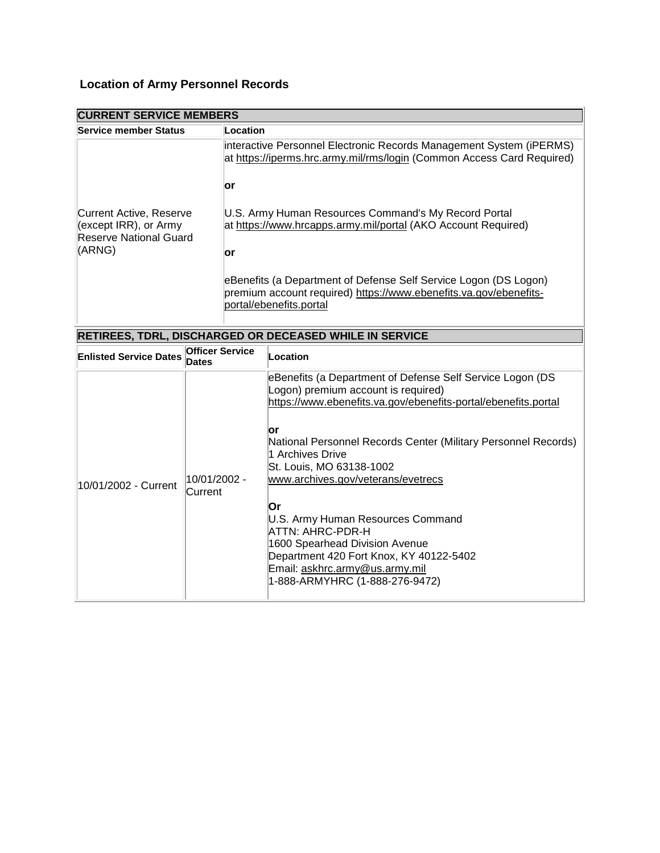### **Location of Army Personnel Records**

| <b>CURRENT SERVICE MEMBERS</b>                                                               |                                                                                                                                                                         |  |  |  |
|----------------------------------------------------------------------------------------------|-------------------------------------------------------------------------------------------------------------------------------------------------------------------------|--|--|--|
| Service member Status                                                                        | Location                                                                                                                                                                |  |  |  |
| Current Active, Reserve<br>$\left($ except IRR), or Army<br>Reserve National Guard<br>(ARNG) | interactive Personnel Electronic Records Management System (iPERMS)<br>at https://iperms.hrc.army.mil/rms/login (Common Access Card Required)                           |  |  |  |
|                                                                                              | lor                                                                                                                                                                     |  |  |  |
|                                                                                              | U.S. Army Human Resources Command's My Record Portal<br>at https://www.hrcapps.army.mil/portal (AKO Account Required)                                                   |  |  |  |
|                                                                                              | lor<br>eBenefits (a Department of Defense Self Service Logon (DS Logon)<br>premium account required) https://www.ebenefits.va.gov/ebenefits-<br>portal/ebenefits.portal |  |  |  |
| <b>RETIREES, TDRL, DISCHARGED OR DECEASED WHILE IN SERVICE</b>                               |                                                                                                                                                                         |  |  |  |

**RETIREES, TDRL, DISCHARGED OR DECEASED WHILE IN SERVICE**

| <b>Enlisted Service Dates</b> | <b>Officer Service</b><br>Dates | Location                                                                                                                                                                                                                                                                                                                                                                                                                                                                                                                                           |
|-------------------------------|---------------------------------|----------------------------------------------------------------------------------------------------------------------------------------------------------------------------------------------------------------------------------------------------------------------------------------------------------------------------------------------------------------------------------------------------------------------------------------------------------------------------------------------------------------------------------------------------|
| 10/01/2002 - Current          | 10/01/2002 -<br>Current         | eBenefits (a Department of Defense Self Service Logon (DS<br>Logon) premium account is required)<br>https://www.ebenefits.va.gov/ebenefits-portal/ebenefits.portal<br>lor<br>National Personnel Records Center (Military Personnel Records)<br>1 Archives Drive<br>St. Louis, MO 63138-1002<br>www.archives.gov/veterans/evetrecs<br>ΙOr<br>U.S. Army Human Resources Command<br>ATTN: AHRC-PDR-H<br>1600 Spearhead Division Avenue<br>Department 420 Fort Knox, KY 40122-5402<br>Email: askhrc.army@us.army.mil<br>1-888-ARMYHRC (1-888-276-9472) |
|                               |                                 |                                                                                                                                                                                                                                                                                                                                                                                                                                                                                                                                                    |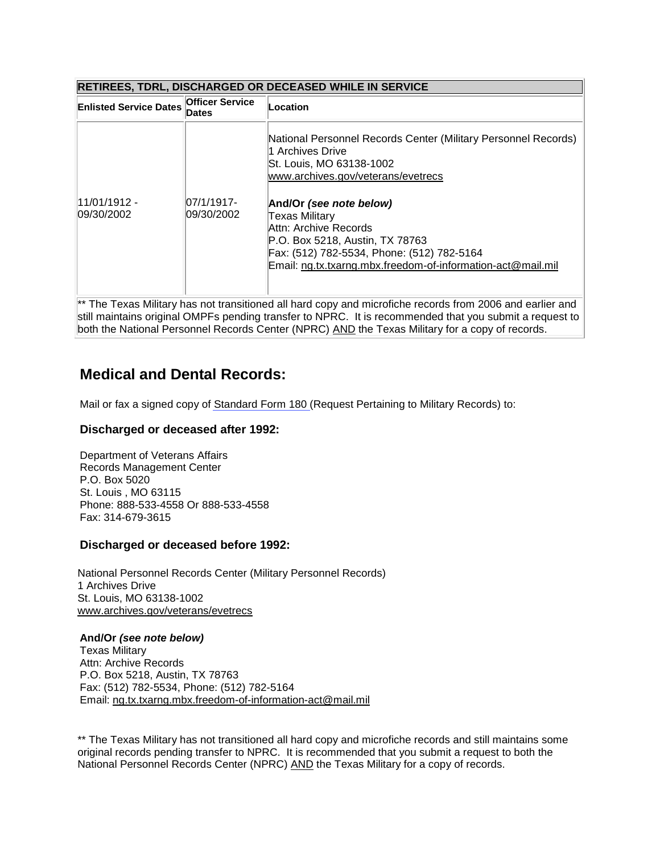### **RETIREES, TDRL, DISCHARGED OR DECEASED WHILE IN SERVICE**

| <b>Enlisted Service Dates</b> | <b>Officer Service</b><br>Dates | Location                                                                                                                                                                                                           |
|-------------------------------|---------------------------------|--------------------------------------------------------------------------------------------------------------------------------------------------------------------------------------------------------------------|
|                               |                                 | National Personnel Records Center (Military Personnel Records)<br>1 Archives Drive<br>St. Louis, MO 63138-1002<br>www.archives.gov/veterans/evetrecs                                                               |
| $11/01/1912 -$<br>09/30/2002  | $ 07/1/1917-$<br>09/30/2002     | And/Or (see note below)<br>Texas Military<br>Attn: Archive Records<br>P.O. Box 5218, Austin, TX 78763<br>Fax: (512) 782-5534, Phone: (512) 782-5164<br>Email: ng.tx.txarng.mbx.freedom-of-information-act@mail.mil |

The Texas Military has not transitioned all hard copy and microfiche records from 2006 and earlier and still maintains original OMPFs pending transfer to NPRC. It is recommended that you submit a request to both the National Personnel Records Center (NPRC) AND the Texas Military for a copy of records.

### **Medical and Dental Records:**

Mail or fax a signed copy of [Standard Form 180 \(](http://www.gsa.gov/portal/forms/download/115958)Request Pertaining to Military Records) to:

### **Discharged or deceased after 1992:**

Department of Veterans Affairs Records Management Center P.O. Box 5020 St. Louis , MO 63115 Phone: 888-533-4558 Or 888-533-4558 Fax: 314-679-3615

### **Discharged or deceased before 1992:**

National Personnel Records Center (Military Personnel Records) 1 Archives Drive St. Louis, MO 63138-1002 [www.archives.gov/veterans/evetrecs](http://www.archives.gov/veterans/evetrecs/)

**And/Or** *(see note below)* Texas Military Attn: Archive Records P.O. Box 5218, Austin, TX 78763 Fax: (512) 782-5534, Phone: (512) 782-5164 Email: [ng.tx.txarng.mbx.freedom-of-information-act@mail.mil](mailto:ng.tx.txarng.mbx.freedom-of-information-act@mail.mil)

\*\* The Texas Military has not transitioned all hard copy and microfiche records and still maintains some original records pending transfer to NPRC. It is recommended that you submit a request to both the National Personnel Records Center (NPRC) AND the Texas Military for a copy of records.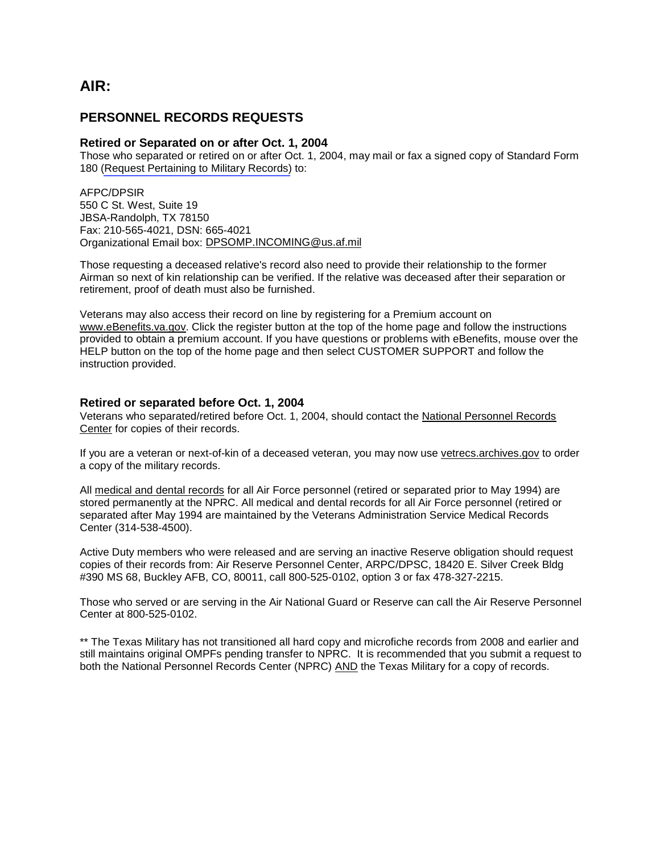### <span id="page-7-0"></span>**AIR:**

### **PERSONNEL RECORDS REQUESTS**

#### **Retired or Separated on or after Oct. 1, 2004**

Those who separated or retired on or after Oct. 1, 2004, may mail or fax a signed copy of Standard Form 180 [\(Request Pertaining to Military Records\)](http://www.gsa.gov/portal/forms/download/115958) to:

AFPC/DPSIR 550 C St. West, Suite 19 JBSA-Randolph, TX 78150 Fax: 210-565-4021, DSN: 665-4021 Organizational Email box: [DPSOMP.INCOMING@us.af.mil](mailto:DPSOMP.INCOMING@us.af.mil)

Those requesting a deceased relative's record also need to provide their relationship to the former Airman so next of kin relationship can be verified. If the relative was deceased after their separation or retirement, proof of death must also be furnished.

Veterans may also access their record on line by registering for a Premium account on [www.eBenefits.va.gov.](http://www.ebenefits.va.gov/) Click the register button at the top of the home page and follow the instructions provided to obtain a premium account. If you have questions or problems with eBenefits, mouse over the HELP button on the top of the home page and then select CUSTOMER SUPPORT and follow the instruction provided.

#### **Retired or separated before Oct. 1, 2004**

Veterans who separated/retired before Oct. 1, 2004, should contact the [National Personnel Records](http://www.archives.gov/)  [Center](http://www.archives.gov/) for copies of their records.

If you are a veteran or next-of-kin of a deceased veteran, you may now use [vetrecs.archives.gov](http://www.archives.gov/veterans/military-service-records/) to order a copy of the military records.

All medical and dental records for all Air Force personnel (retired or separated prior to May 1994) are stored permanently at the NPRC. All medical and dental records for all Air Force personnel (retired or separated after May 1994 are maintained by the Veterans Administration Service Medical Records Center (314-538-4500).

Active Duty members who were released and are serving an inactive Reserve obligation should request copies of their records from: Air Reserve Personnel Center, ARPC/DPSC, 18420 E. Silver Creek Bldg #390 MS 68, Buckley AFB, CO, 80011, call 800-525-0102, option 3 or fax 478-327-2215.

Those who served or are serving in the Air National Guard or Reserve can call the Air Reserve Personnel Center at 800-525-0102.

\*\* The Texas Military has not transitioned all hard copy and microfiche records from 2008 and earlier and still maintains original OMPFs pending transfer to NPRC. It is recommended that you submit a request to both the National Personnel Records Center (NPRC) AND the Texas Military for a copy of records.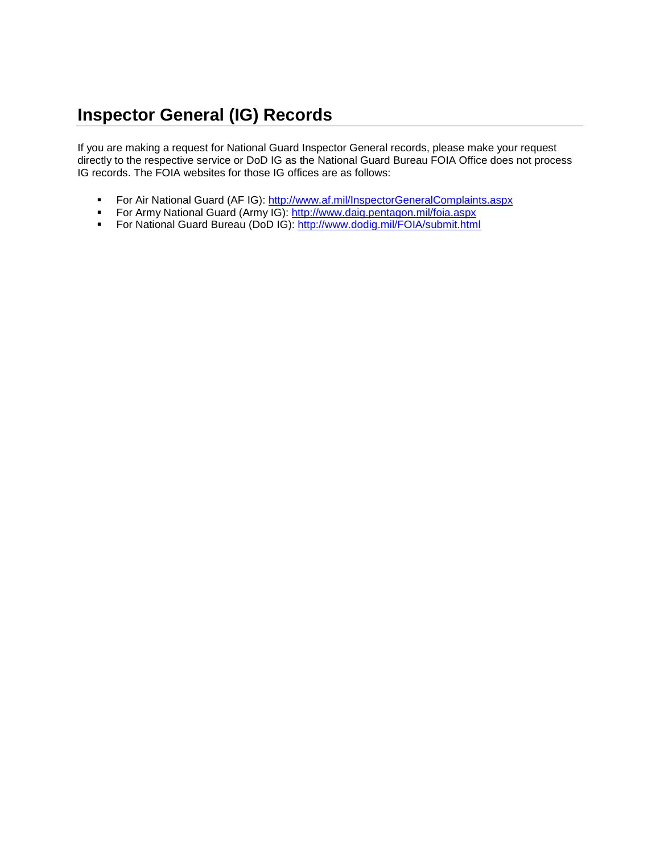## <span id="page-8-0"></span>**Inspector General (IG) Records**

If you are making a request for National Guard Inspector General records, please make your request directly to the respective service or DoD IG as the National Guard Bureau FOIA Office does not process IG records. The FOIA websites for those IG offices are as follows:

- For Air National Guard (AF IG):<http://www.af.mil/InspectorGeneralComplaints.aspx>
- For Army National Guard (Army IG):<http://www.daig.pentagon.mil/foia.aspx>
- For National Guard Bureau (DoD IG):<http://www.dodig.mil/FOIA/submit.html>